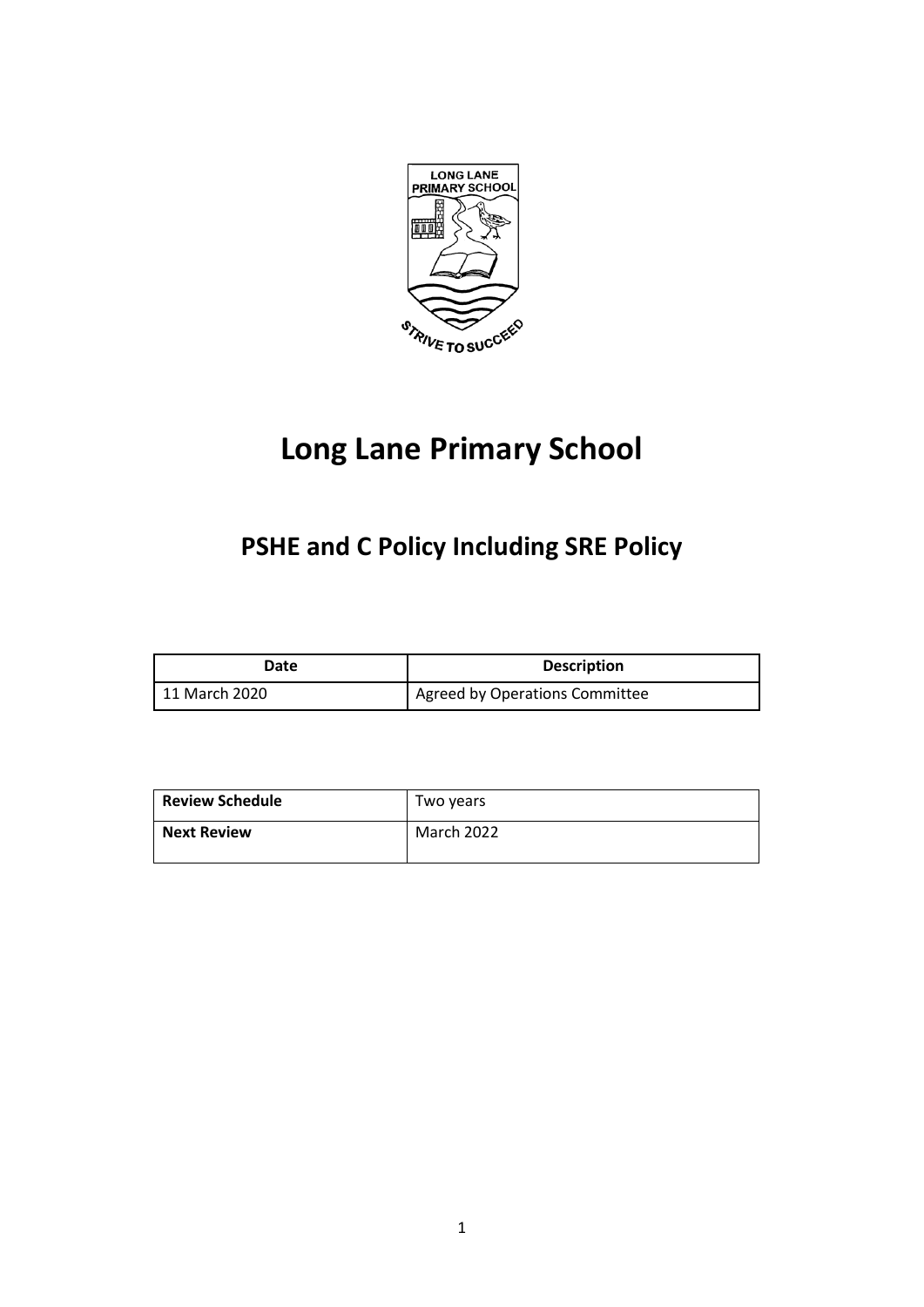

# **Long Lane Primary School**

# **PSHE and C Policy Including SRE Policy**

| Date          | <b>Description</b>             |
|---------------|--------------------------------|
| 11 March 2020 | Agreed by Operations Committee |

| <b>Review Schedule</b> | Two years  |
|------------------------|------------|
| <b>Next Review</b>     | March 2022 |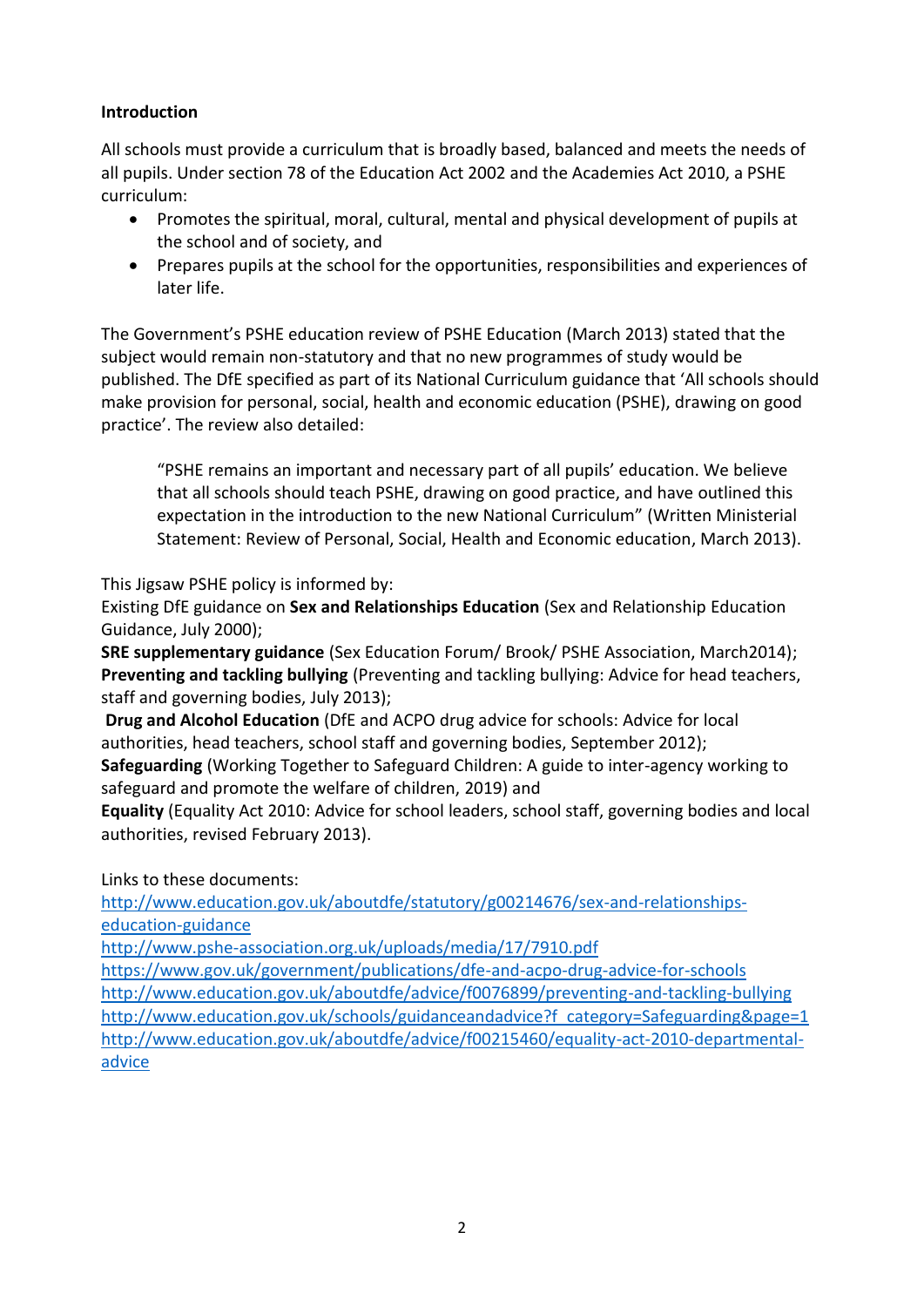# **Introduction**

All schools must provide a curriculum that is broadly based, balanced and meets the needs of all pupils. Under section 78 of the Education Act 2002 and the Academies Act 2010, a PSHE curriculum:

- Promotes the spiritual, moral, cultural, mental and physical development of pupils at the school and of society, and
- Prepares pupils at the school for the opportunities, responsibilities and experiences of later life.

The Government's PSHE education review of PSHE Education (March 2013) stated that the subject would remain non-statutory and that no new programmes of study would be published. The DfE specified as part of its National Curriculum guidance that 'All schools should make provision for personal, social, health and economic education (PSHE), drawing on good practice'. The review also detailed:

"PSHE remains an important and necessary part of all pupils' education. We believe that all schools should teach PSHE, drawing on good practice, and have outlined this expectation in the introduction to the new National Curriculum" (Written Ministerial Statement: Review of Personal, Social, Health and Economic education, March 2013).

This Jigsaw PSHE policy is informed by:

Existing DfE guidance on **Sex and Relationships Education** (Sex and Relationship Education Guidance, July 2000);

**SRE supplementary guidance** (Sex Education Forum/ Brook/ PSHE Association, March2014); **Preventing and tackling bullying** (Preventing and tackling bullying: Advice for head teachers, staff and governing bodies, July 2013);

**Drug and Alcohol Education** (DfE and ACPO drug advice for schools: Advice for local authorities, head teachers, school staff and governing bodies, September 2012);

**Safeguarding** (Working Together to Safeguard Children: A guide to inter-agency working to safeguard and promote the welfare of children, 2019) and

**Equality** (Equality Act 2010: Advice for school leaders, school staff, governing bodies and local authorities, revised February 2013).

Links to these documents:

[http://www.education.gov.uk/aboutdfe/statutory/g00214676/sex-and-relationships](http://www.education.gov.uk/aboutdfe/statutory/g00214676/sex-and-relationships-education-guidance)[education-guidance](http://www.education.gov.uk/aboutdfe/statutory/g00214676/sex-and-relationships-education-guidance)

<http://www.pshe-association.org.uk/uploads/media/17/7910.pdf>

<https://www.gov.uk/government/publications/dfe-and-acpo-drug-advice-for-schools> <http://www.education.gov.uk/aboutdfe/advice/f0076899/preventing-and-tackling-bullying> [http://www.education.gov.uk/schools/guidanceandadvice?f\\_category=Safeguarding&page=1](http://www.education.gov.uk/schools/guidanceandadvice?f_category=Safeguarding&page=1) [http://www.education.gov.uk/aboutdfe/advice/f00215460/equality-act-2010-departmental](http://www.education.gov.uk/aboutdfe/advice/f00215460/equality-act-2010-departmental-advice)[advice](http://www.education.gov.uk/aboutdfe/advice/f00215460/equality-act-2010-departmental-advice)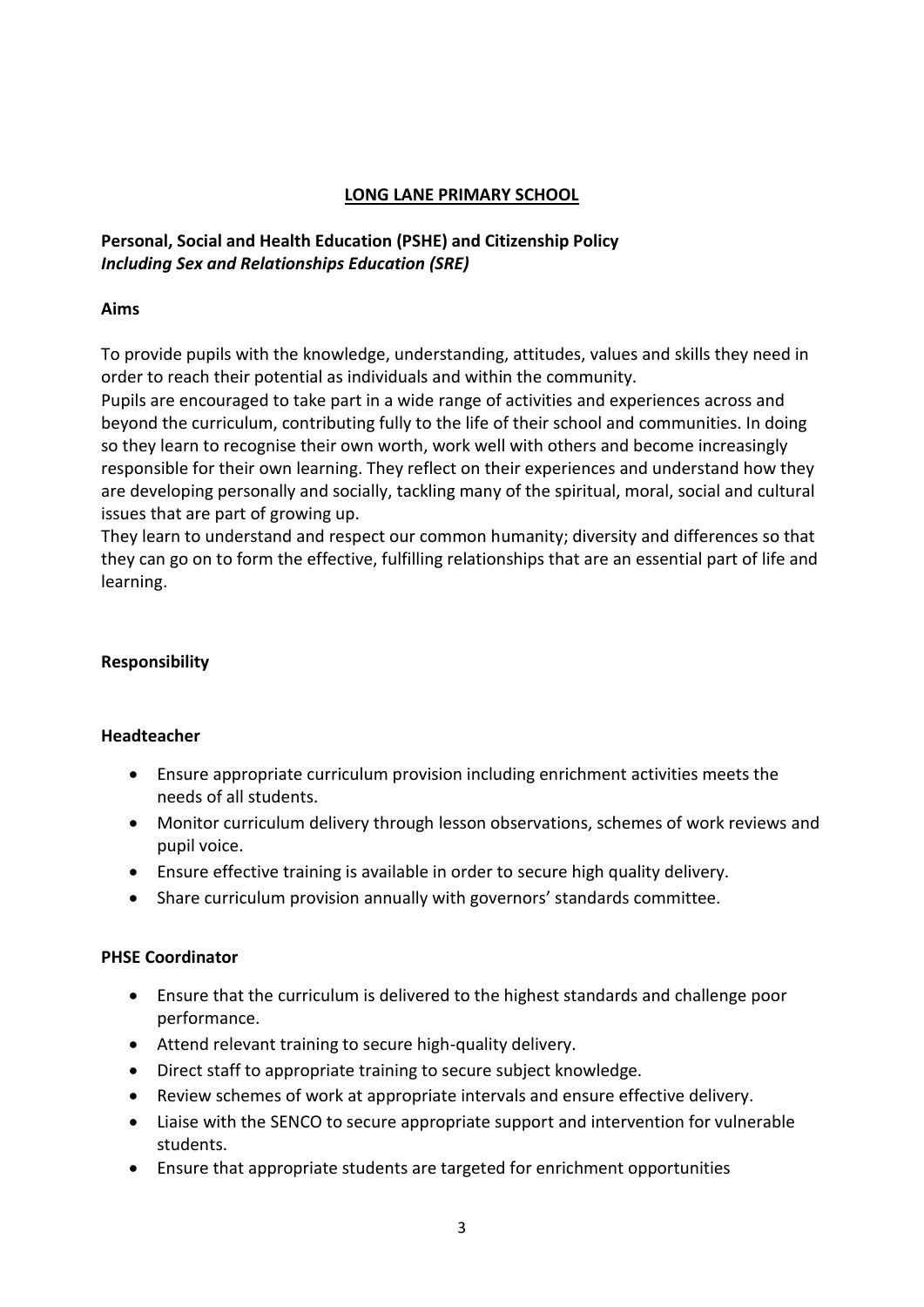#### **LONG LANE PRIMARY SCHOOL**

# **Personal, Social and Health Education (PSHE) and Citizenship Policy**  *Including Sex and Relationships Education (SRE)*

#### **Aims**

To provide pupils with the knowledge, understanding, attitudes, values and skills they need in order to reach their potential as individuals and within the community.

Pupils are encouraged to take part in a wide range of activities and experiences across and beyond the curriculum, contributing fully to the life of their school and communities. In doing so they learn to recognise their own worth, work well with others and become increasingly responsible for their own learning. They reflect on their experiences and understand how they are developing personally and socially, tackling many of the spiritual, moral, social and cultural issues that are part of growing up.

They learn to understand and respect our common humanity; diversity and differences so that they can go on to form the effective, fulfilling relationships that are an essential part of life and learning.

#### **Responsibility**

#### **Headteacher**

- Ensure appropriate curriculum provision including enrichment activities meets the needs of all students.
- Monitor curriculum delivery through lesson observations, schemes of work reviews and pupil voice.
- Ensure effective training is available in order to secure high quality delivery.
- Share curriculum provision annually with governors' standards committee.

#### **PHSE Coordinator**

- Ensure that the curriculum is delivered to the highest standards and challenge poor performance.
- Attend relevant training to secure high-quality delivery.
- Direct staff to appropriate training to secure subject knowledge.
- Review schemes of work at appropriate intervals and ensure effective delivery.
- Liaise with the SENCO to secure appropriate support and intervention for vulnerable students.
- Ensure that appropriate students are targeted for enrichment opportunities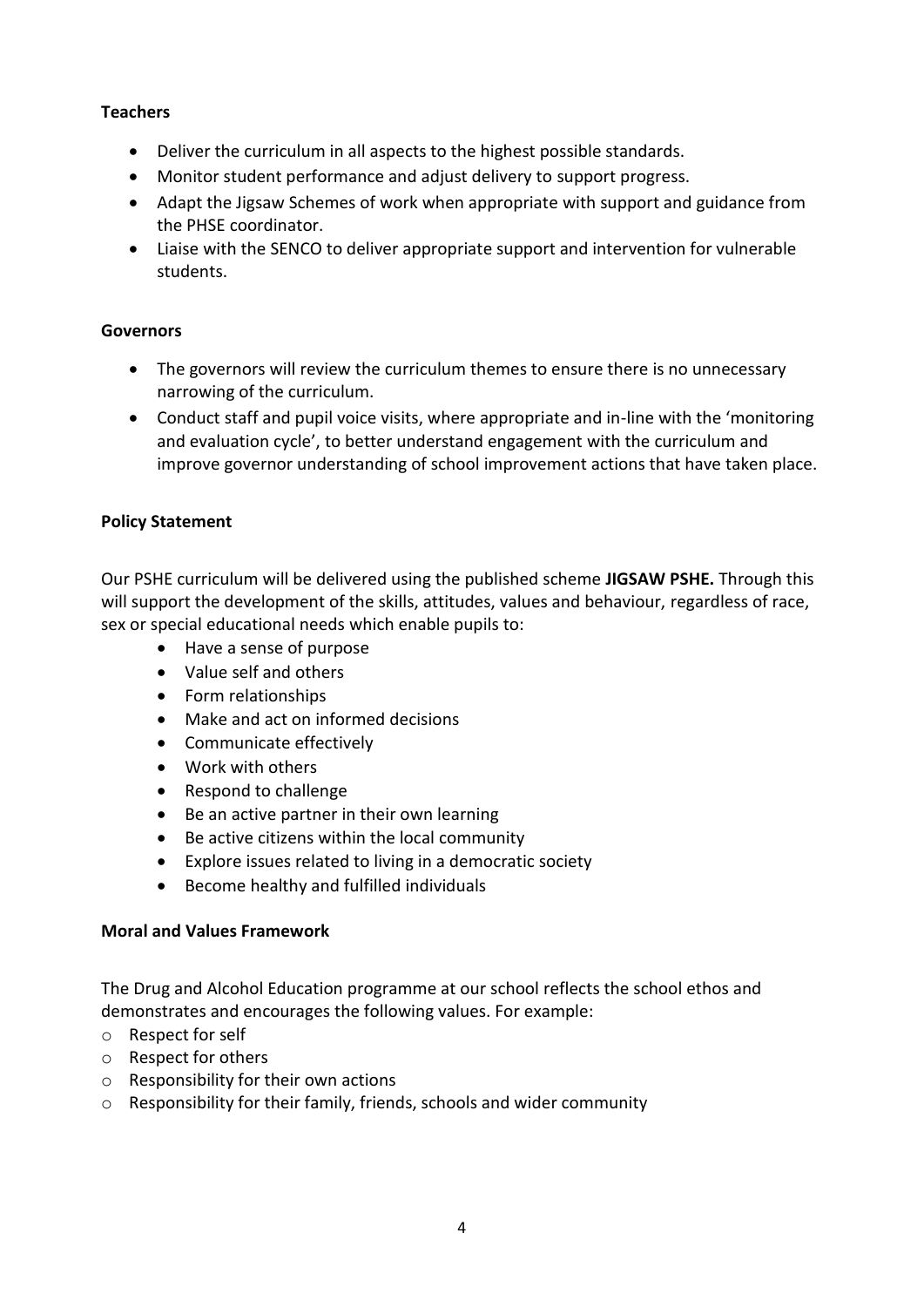# **Teachers**

- Deliver the curriculum in all aspects to the highest possible standards.
- Monitor student performance and adjust delivery to support progress.
- Adapt the Jigsaw Schemes of work when appropriate with support and guidance from the PHSE coordinator.
- Liaise with the SENCO to deliver appropriate support and intervention for vulnerable students.

#### **Governors**

- The governors will review the curriculum themes to ensure there is no unnecessary narrowing of the curriculum.
- Conduct staff and pupil voice visits, where appropriate and in-line with the 'monitoring and evaluation cycle', to better understand engagement with the curriculum and improve governor understanding of school improvement actions that have taken place.

# **Policy Statement**

Our PSHE curriculum will be delivered using the published scheme **JIGSAW PSHE.** Through this will support the development of the skills, attitudes, values and behaviour, regardless of race, sex or special educational needs which enable pupils to:

- Have a sense of purpose
- Value self and others
- Form relationships
- Make and act on informed decisions
- Communicate effectively
- Work with others
- Respond to challenge
- Be an active partner in their own learning
- Be active citizens within the local community
- Explore issues related to living in a democratic society
- Become healthy and fulfilled individuals

#### **Moral and Values Framework**

The Drug and Alcohol Education programme at our school reflects the school ethos and demonstrates and encourages the following values. For example:

- o Respect for self
- o Respect for others
- o Responsibility for their own actions
- o Responsibility for their family, friends, schools and wider community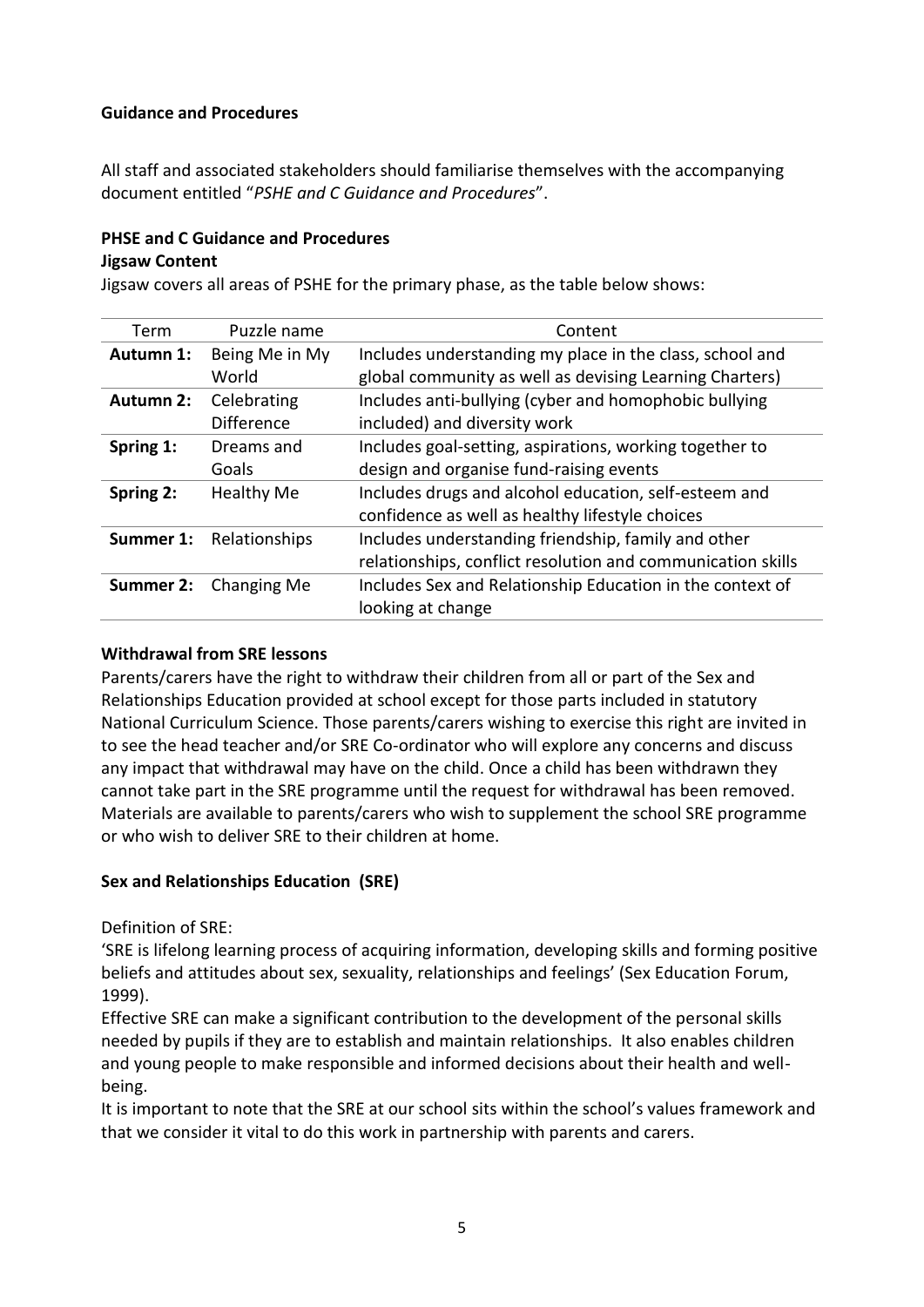#### **Guidance and Procedures**

All staff and associated stakeholders should familiarise themselves with the accompanying document entitled "*PSHE and C Guidance and Procedures*".

#### **PHSE and C Guidance and Procedures**

#### **Jigsaw Content**

Jigsaw covers all areas of PSHE for the primary phase, as the table below shows:

| Term             | Puzzle name       | Content                                                     |
|------------------|-------------------|-------------------------------------------------------------|
| Autumn 1:        | Being Me in My    | Includes understanding my place in the class, school and    |
|                  | World             | global community as well as devising Learning Charters)     |
| <b>Autumn 2:</b> | Celebrating       | Includes anti-bullying (cyber and homophobic bullying       |
|                  | <b>Difference</b> | included) and diversity work                                |
| Spring 1:        | Dreams and        | Includes goal-setting, aspirations, working together to     |
|                  | Goals             | design and organise fund-raising events                     |
| Spring 2:        | <b>Healthy Me</b> | Includes drugs and alcohol education, self-esteem and       |
|                  |                   | confidence as well as healthy lifestyle choices             |
| Summer 1:        | Relationships     | Includes understanding friendship, family and other         |
|                  |                   | relationships, conflict resolution and communication skills |
| Summer 2:        | Changing Me       | Includes Sex and Relationship Education in the context of   |
|                  |                   | looking at change                                           |

#### **Withdrawal from SRE lessons**

Parents/carers have the right to withdraw their children from all or part of the Sex and Relationships Education provided at school except for those parts included in statutory National Curriculum Science. Those parents/carers wishing to exercise this right are invited in to see the head teacher and/or SRE Co-ordinator who will explore any concerns and discuss any impact that withdrawal may have on the child. Once a child has been withdrawn they cannot take part in the SRE programme until the request for withdrawal has been removed. Materials are available to parents/carers who wish to supplement the school SRE programme or who wish to deliver SRE to their children at home.

#### **Sex and Relationships Education (SRE)**

Definition of SRE:

'SRE is lifelong learning process of acquiring information, developing skills and forming positive beliefs and attitudes about sex, sexuality, relationships and feelings' (Sex Education Forum, 1999).

Effective SRE can make a significant contribution to the development of the personal skills needed by pupils if they are to establish and maintain relationships. It also enables children and young people to make responsible and informed decisions about their health and wellbeing.

It is important to note that the SRE at our school sits within the school's values framework and that we consider it vital to do this work in partnership with parents and carers.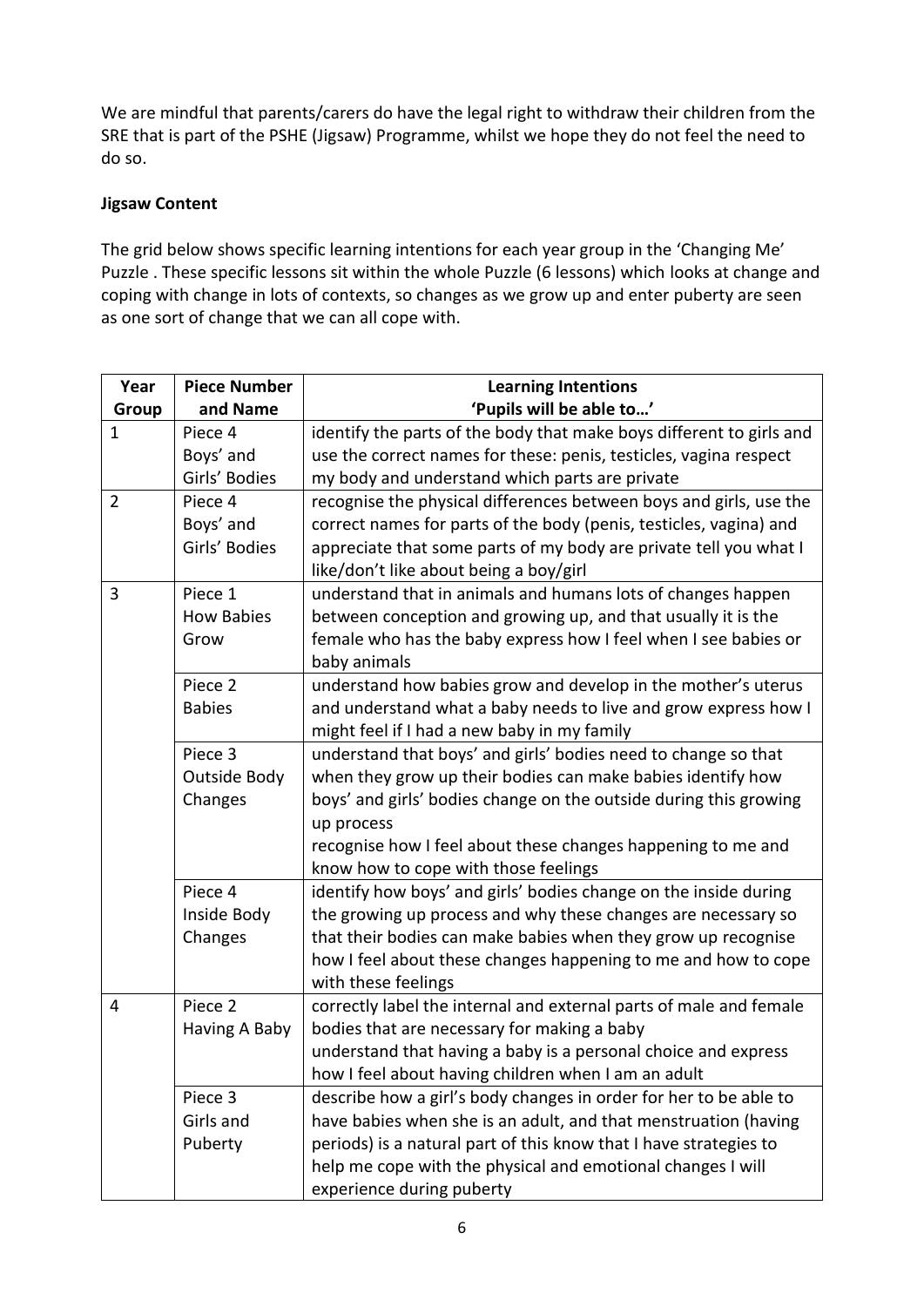We are mindful that parents/carers do have the legal right to withdraw their children from the SRE that is part of the PSHE (Jigsaw) Programme, whilst we hope they do not feel the need to do so.

#### **Jigsaw Content**

The grid below shows specific learning intentions for each year group in the 'Changing Me' Puzzle . These specific lessons sit within the whole Puzzle (6 lessons) which looks at change and coping with change in lots of contexts, so changes as we grow up and enter puberty are seen as one sort of change that we can all cope with.

| Year           | <b>Piece Number</b> | <b>Learning Intentions</b>                                           |
|----------------|---------------------|----------------------------------------------------------------------|
| Group          | and Name            | 'Pupils will be able to'                                             |
| $\mathbf 1$    | Piece 4             | identify the parts of the body that make boys different to girls and |
|                | Boys' and           | use the correct names for these: penis, testicles, vagina respect    |
|                | Girls' Bodies       | my body and understand which parts are private                       |
| $\overline{2}$ | Piece 4             | recognise the physical differences between boys and girls, use the   |
|                | Boys' and           | correct names for parts of the body (penis, testicles, vagina) and   |
|                | Girls' Bodies       | appreciate that some parts of my body are private tell you what I    |
|                |                     | like/don't like about being a boy/girl                               |
| 3              | Piece 1             | understand that in animals and humans lots of changes happen         |
|                | <b>How Babies</b>   | between conception and growing up, and that usually it is the        |
|                | Grow                | female who has the baby express how I feel when I see babies or      |
|                |                     | baby animals                                                         |
|                | Piece 2             | understand how babies grow and develop in the mother's uterus        |
|                | <b>Babies</b>       | and understand what a baby needs to live and grow express how I      |
|                |                     | might feel if I had a new baby in my family                          |
|                | Piece 3             | understand that boys' and girls' bodies need to change so that       |
|                | <b>Outside Body</b> | when they grow up their bodies can make babies identify how          |
|                | Changes             | boys' and girls' bodies change on the outside during this growing    |
|                |                     | up process                                                           |
|                |                     | recognise how I feel about these changes happening to me and         |
|                |                     | know how to cope with those feelings                                 |
|                | Piece 4             | identify how boys' and girls' bodies change on the inside during     |
|                | Inside Body         | the growing up process and why these changes are necessary so        |
|                | Changes             | that their bodies can make babies when they grow up recognise        |
|                |                     | how I feel about these changes happening to me and how to cope       |
|                |                     | with these feelings                                                  |
| $\overline{4}$ | Piece 2             | correctly label the internal and external parts of male and female   |
|                | Having A Baby       | bodies that are necessary for making a baby                          |
|                |                     | understand that having a baby is a personal choice and express       |
|                |                     | how I feel about having children when I am an adult                  |
|                | Piece 3             | describe how a girl's body changes in order for her to be able to    |
|                | Girls and           | have babies when she is an adult, and that menstruation (having      |
|                | Puberty             | periods) is a natural part of this know that I have strategies to    |
|                |                     | help me cope with the physical and emotional changes I will          |
|                |                     | experience during puberty                                            |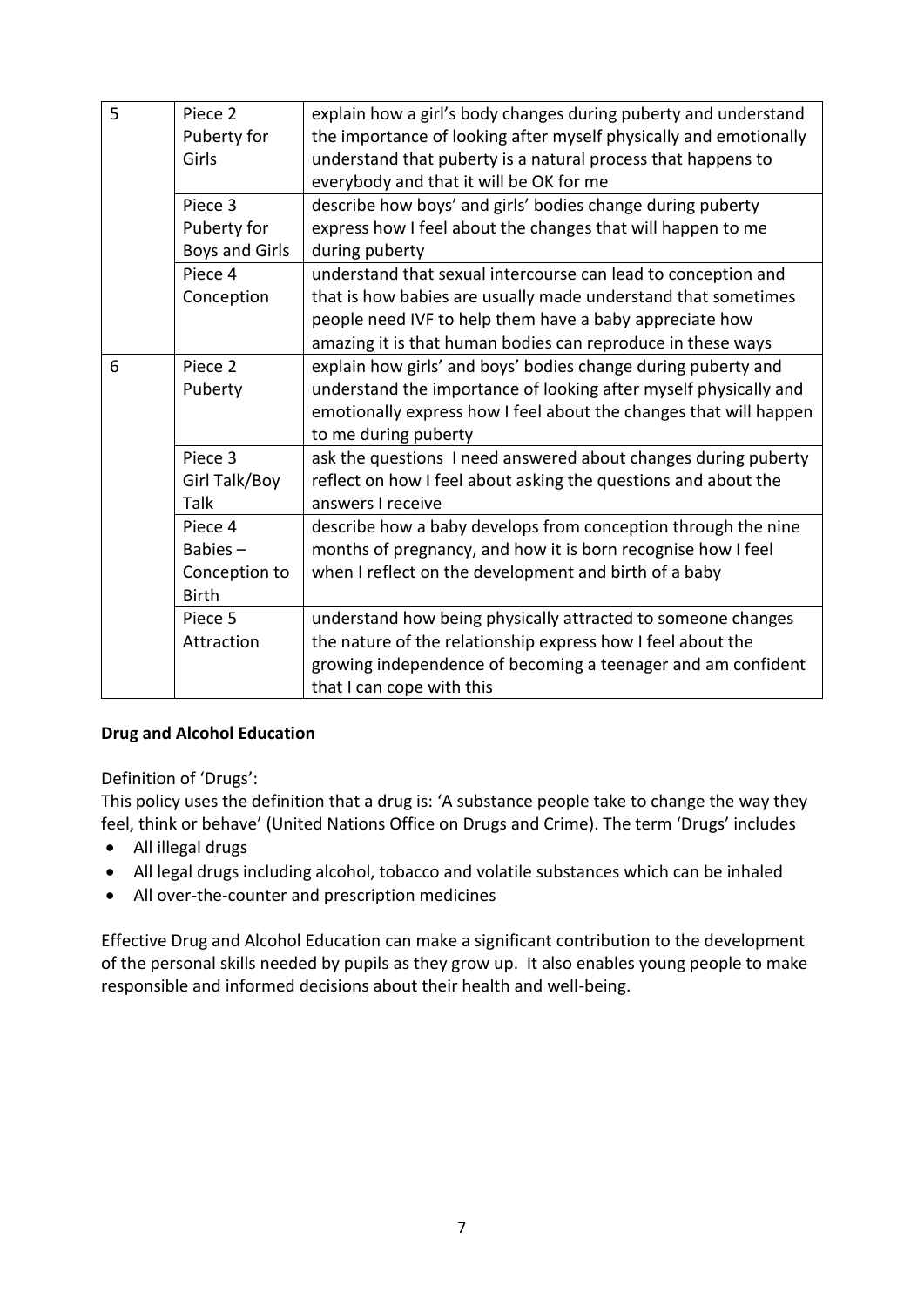| 5 | Piece <sub>2</sub><br>Puberty for<br>Girls             | explain how a girl's body changes during puberty and understand<br>the importance of looking after myself physically and emotionally<br>understand that puberty is a natural process that happens to<br>everybody and that it will be OK for me |
|---|--------------------------------------------------------|-------------------------------------------------------------------------------------------------------------------------------------------------------------------------------------------------------------------------------------------------|
|   | Piece 3                                                | describe how boys' and girls' bodies change during puberty                                                                                                                                                                                      |
|   | Puberty for                                            | express how I feel about the changes that will happen to me                                                                                                                                                                                     |
|   | <b>Boys and Girls</b>                                  | during puberty                                                                                                                                                                                                                                  |
|   | Piece 4<br>Conception                                  | understand that sexual intercourse can lead to conception and<br>that is how babies are usually made understand that sometimes<br>people need IVF to help them have a baby appreciate how                                                       |
|   |                                                        | amazing it is that human bodies can reproduce in these ways                                                                                                                                                                                     |
| 6 | Piece 2<br>Puberty                                     | explain how girls' and boys' bodies change during puberty and<br>understand the importance of looking after myself physically and<br>emotionally express how I feel about the changes that will happen<br>to me during puberty                  |
|   | Piece 3<br>Girl Talk/Boy<br><b>Talk</b>                | ask the questions I need answered about changes during puberty<br>reflect on how I feel about asking the questions and about the<br>answers I receive                                                                                           |
|   | Piece 4<br>Babies $-$<br>Conception to<br><b>Birth</b> | describe how a baby develops from conception through the nine<br>months of pregnancy, and how it is born recognise how I feel<br>when I reflect on the development and birth of a baby                                                          |
|   | Piece 5                                                | understand how being physically attracted to someone changes                                                                                                                                                                                    |
|   | Attraction                                             | the nature of the relationship express how I feel about the                                                                                                                                                                                     |
|   |                                                        | growing independence of becoming a teenager and am confident<br>that I can cope with this                                                                                                                                                       |

#### **Drug and Alcohol Education**

Definition of 'Drugs':

This policy uses the definition that a drug is: 'A substance people take to change the way they feel, think or behave' (United Nations Office on Drugs and Crime). The term 'Drugs' includes

- All illegal drugs
- All legal drugs including alcohol, tobacco and volatile substances which can be inhaled
- All over-the-counter and prescription medicines

Effective Drug and Alcohol Education can make a significant contribution to the development of the personal skills needed by pupils as they grow up. It also enables young people to make responsible and informed decisions about their health and well-being.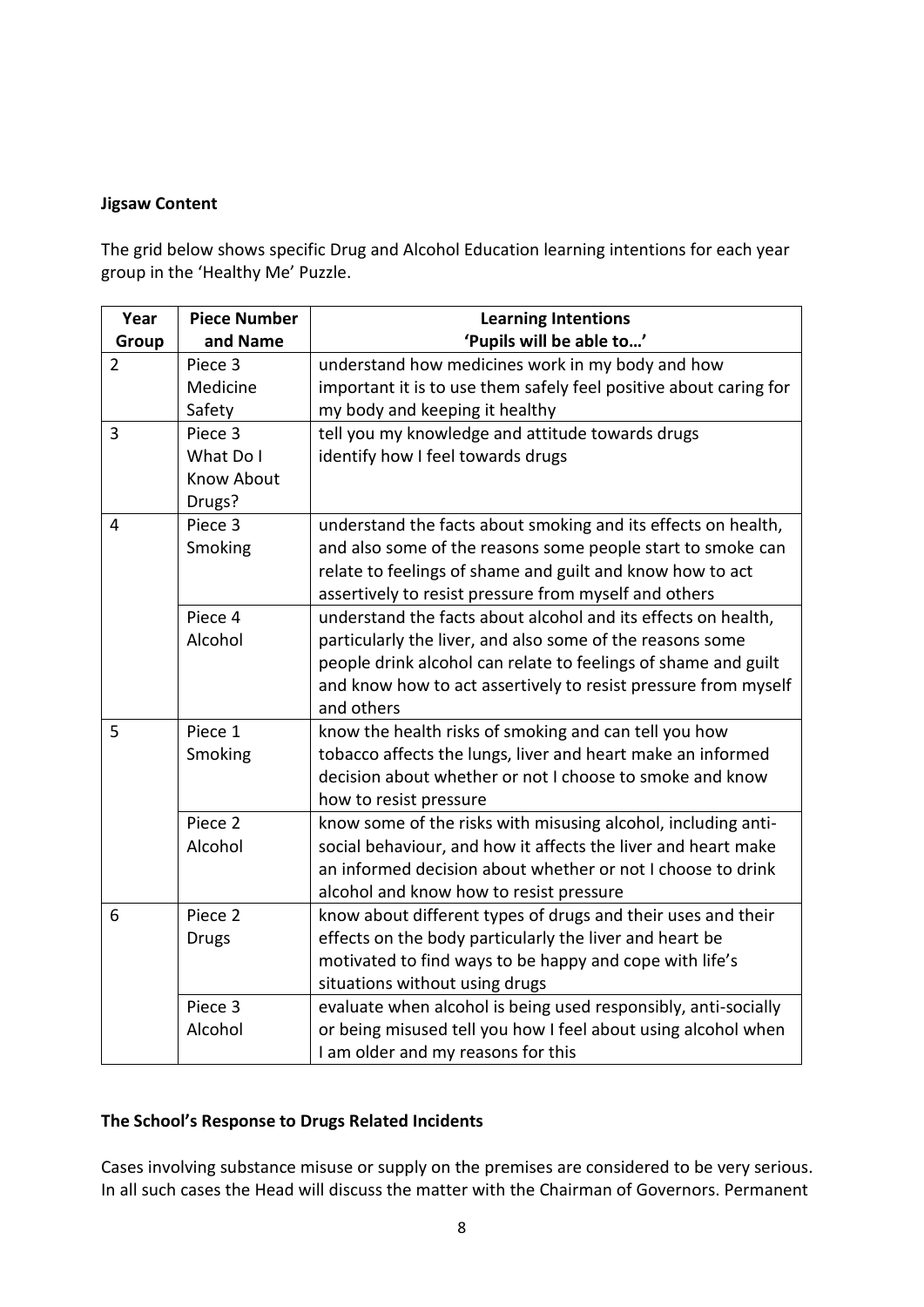# **Jigsaw Content**

The grid below shows specific Drug and Alcohol Education learning intentions for each year group in the 'Healthy Me' Puzzle.

| Year           | <b>Piece Number</b> | <b>Learning Intentions</b>                                        |
|----------------|---------------------|-------------------------------------------------------------------|
| Group          | and Name            | 'Pupils will be able to'                                          |
| $\overline{2}$ | Piece 3             | understand how medicines work in my body and how                  |
|                | Medicine            | important it is to use them safely feel positive about caring for |
|                | Safety              | my body and keeping it healthy                                    |
| 3              | Piece 3             | tell you my knowledge and attitude towards drugs                  |
|                | What Do I           | identify how I feel towards drugs                                 |
|                | <b>Know About</b>   |                                                                   |
|                | Drugs?              |                                                                   |
| 4              | Piece 3             | understand the facts about smoking and its effects on health,     |
|                | Smoking             | and also some of the reasons some people start to smoke can       |
|                |                     | relate to feelings of shame and guilt and know how to act         |
|                |                     | assertively to resist pressure from myself and others             |
|                | Piece 4             | understand the facts about alcohol and its effects on health,     |
|                | Alcohol             | particularly the liver, and also some of the reasons some         |
|                |                     | people drink alcohol can relate to feelings of shame and guilt    |
|                |                     | and know how to act assertively to resist pressure from myself    |
|                |                     | and others                                                        |
| 5              | Piece 1             | know the health risks of smoking and can tell you how             |
|                | Smoking             | tobacco affects the lungs, liver and heart make an informed       |
|                |                     | decision about whether or not I choose to smoke and know          |
|                |                     | how to resist pressure                                            |
|                | Piece <sub>2</sub>  | know some of the risks with misusing alcohol, including anti-     |
|                | Alcohol             | social behaviour, and how it affects the liver and heart make     |
|                |                     | an informed decision about whether or not I choose to drink       |
|                |                     | alcohol and know how to resist pressure                           |
| 6              | Piece 2             | know about different types of drugs and their uses and their      |
|                | <b>Drugs</b>        | effects on the body particularly the liver and heart be           |
|                |                     | motivated to find ways to be happy and cope with life's           |
|                |                     | situations without using drugs                                    |
|                | Piece 3             | evaluate when alcohol is being used responsibly, anti-socially    |
|                | Alcohol             | or being misused tell you how I feel about using alcohol when     |
|                |                     | I am older and my reasons for this                                |

#### **The School's Response to Drugs Related Incidents**

Cases involving substance misuse or supply on the premises are considered to be very serious. In all such cases the Head will discuss the matter with the Chairman of Governors. Permanent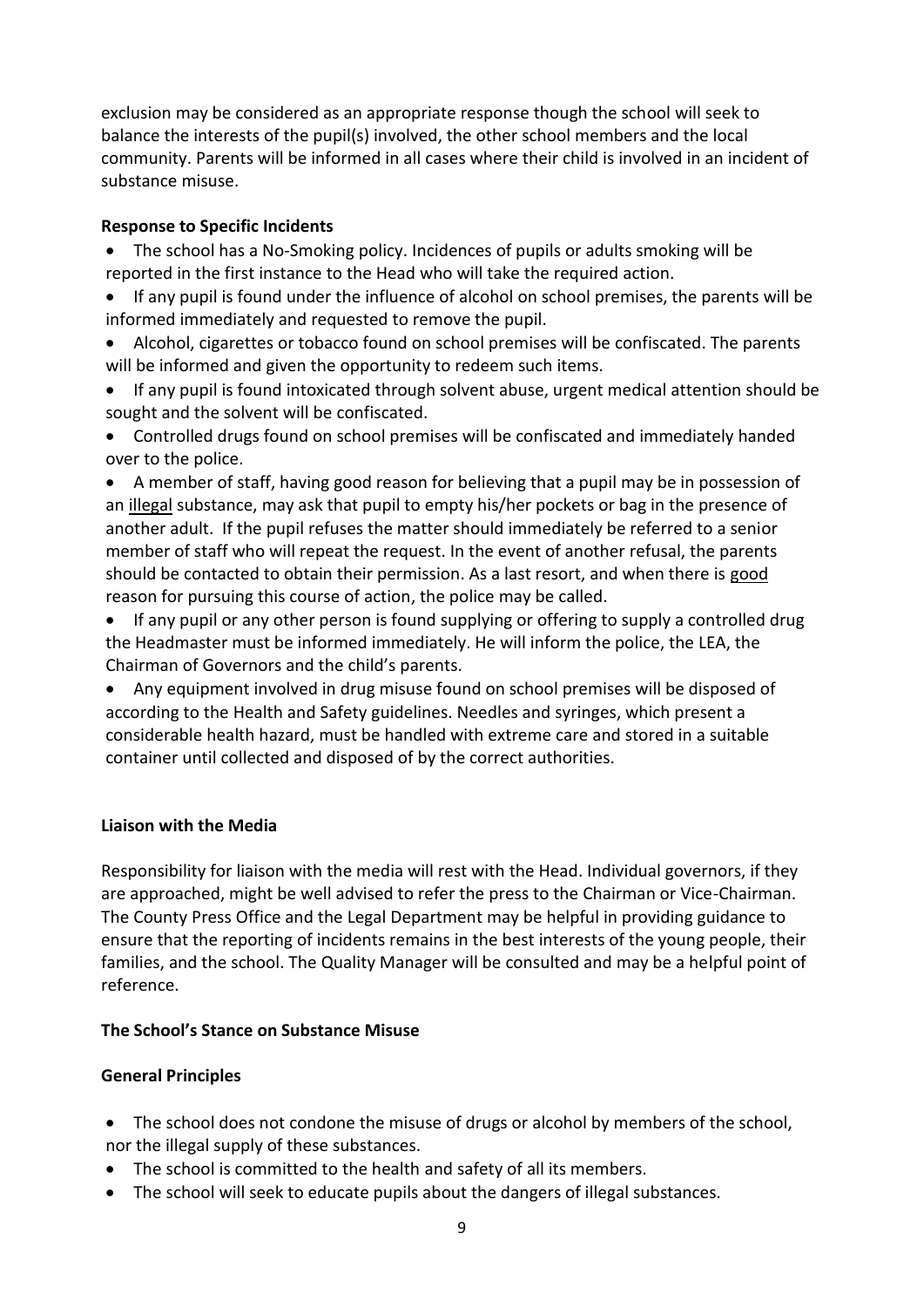exclusion may be considered as an appropriate response though the school will seek to balance the interests of the pupil(s) involved, the other school members and the local community. Parents will be informed in all cases where their child is involved in an incident of substance misuse.

#### **Response to Specific Incidents**

- The school has a No-Smoking policy. Incidences of pupils or adults smoking will be reported in the first instance to the Head who will take the required action.
- If any pupil is found under the influence of alcohol on school premises, the parents will be informed immediately and requested to remove the pupil.
- Alcohol, cigarettes or tobacco found on school premises will be confiscated. The parents will be informed and given the opportunity to redeem such items.
- If any pupil is found intoxicated through solvent abuse, urgent medical attention should be sought and the solvent will be confiscated.
- Controlled drugs found on school premises will be confiscated and immediately handed over to the police.
- A member of staff, having good reason for believing that a pupil may be in possession of an illegal substance, may ask that pupil to empty his/her pockets or bag in the presence of another adult. If the pupil refuses the matter should immediately be referred to a senior member of staff who will repeat the request. In the event of another refusal, the parents should be contacted to obtain their permission. As a last resort, and when there is good reason for pursuing this course of action, the police may be called.
- If any pupil or any other person is found supplying or offering to supply a controlled drug the Headmaster must be informed immediately. He will inform the police, the LEA, the Chairman of Governors and the child's parents.
- Any equipment involved in drug misuse found on school premises will be disposed of according to the Health and Safety guidelines. Needles and syringes, which present a considerable health hazard, must be handled with extreme care and stored in a suitable container until collected and disposed of by the correct authorities.

#### **Liaison with the Media**

Responsibility for liaison with the media will rest with the Head. Individual governors, if they are approached, might be well advised to refer the press to the Chairman or Vice-Chairman. The County Press Office and the Legal Department may be helpful in providing guidance to ensure that the reporting of incidents remains in the best interests of the young people, their families, and the school. The Quality Manager will be consulted and may be a helpful point of reference.

#### **The School's Stance on Substance Misuse**

#### **General Principles**

- The school does not condone the misuse of drugs or alcohol by members of the school, nor the illegal supply of these substances.
- The school is committed to the health and safety of all its members.
- The school will seek to educate pupils about the dangers of illegal substances.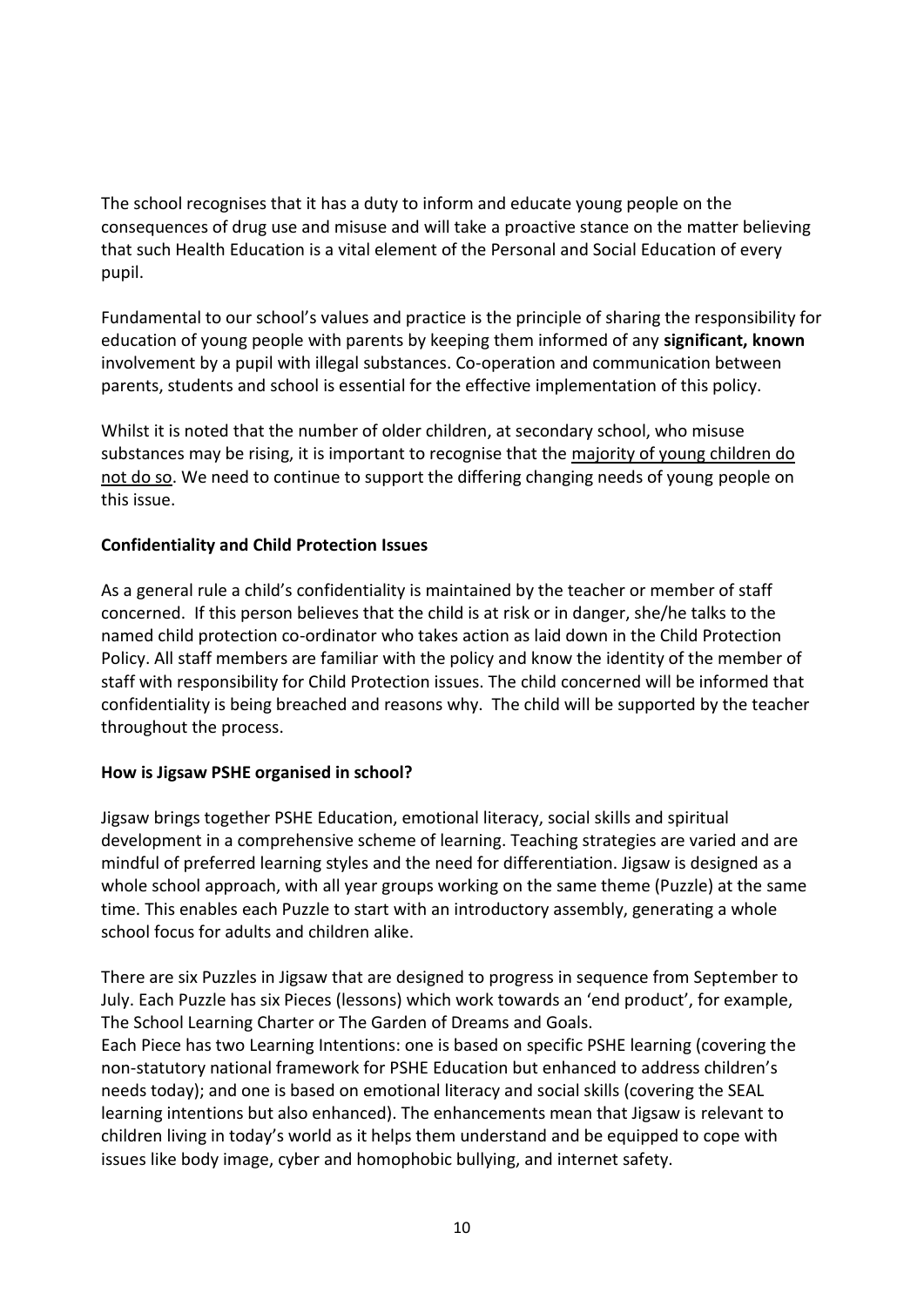The school recognises that it has a duty to inform and educate young people on the consequences of drug use and misuse and will take a proactive stance on the matter believing that such Health Education is a vital element of the Personal and Social Education of every pupil.

Fundamental to our school's values and practice is the principle of sharing the responsibility for education of young people with parents by keeping them informed of any **significant, known**  involvement by a pupil with illegal substances. Co-operation and communication between parents, students and school is essential for the effective implementation of this policy.

Whilst it is noted that the number of older children, at secondary school, who misuse substances may be rising, it is important to recognise that the majority of young children do not do so. We need to continue to support the differing changing needs of young people on this issue.

#### **Confidentiality and Child Protection Issues**

As a general rule a child's confidentiality is maintained by the teacher or member of staff concerned. If this person believes that the child is at risk or in danger, she/he talks to the named child protection co-ordinator who takes action as laid down in the Child Protection Policy. All staff members are familiar with the policy and know the identity of the member of staff with responsibility for Child Protection issues. The child concerned will be informed that confidentiality is being breached and reasons why. The child will be supported by the teacher throughout the process.

#### **How is Jigsaw PSHE organised in school?**

Jigsaw brings together PSHE Education, emotional literacy, social skills and spiritual development in a comprehensive scheme of learning. Teaching strategies are varied and are mindful of preferred learning styles and the need for differentiation. Jigsaw is designed as a whole school approach, with all year groups working on the same theme (Puzzle) at the same time. This enables each Puzzle to start with an introductory assembly, generating a whole school focus for adults and children alike.

There are six Puzzles in Jigsaw that are designed to progress in sequence from September to July. Each Puzzle has six Pieces (lessons) which work towards an 'end product', for example, The School Learning Charter or The Garden of Dreams and Goals.

Each Piece has two Learning Intentions: one is based on specific PSHE learning (covering the non-statutory national framework for PSHE Education but enhanced to address children's needs today); and one is based on emotional literacy and social skills (covering the SEAL learning intentions but also enhanced). The enhancements mean that Jigsaw is relevant to children living in today's world as it helps them understand and be equipped to cope with issues like body image, cyber and homophobic bullying, and internet safety.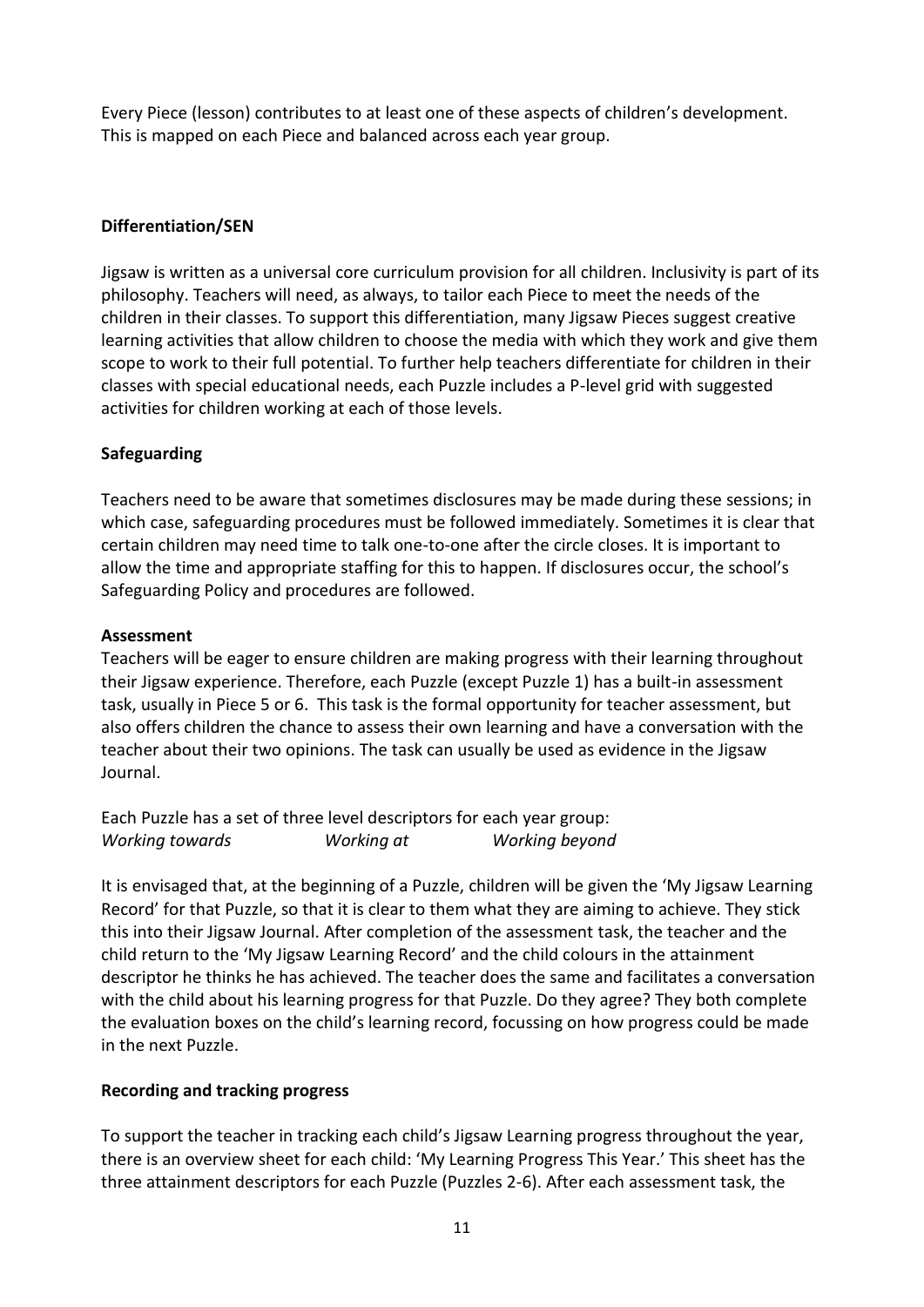Every Piece (lesson) contributes to at least one of these aspects of children's development. This is mapped on each Piece and balanced across each year group.

# **Differentiation/SEN**

Jigsaw is written as a universal core curriculum provision for all children. Inclusivity is part of its philosophy. Teachers will need, as always, to tailor each Piece to meet the needs of the children in their classes. To support this differentiation, many Jigsaw Pieces suggest creative learning activities that allow children to choose the media with which they work and give them scope to work to their full potential. To further help teachers differentiate for children in their classes with special educational needs, each Puzzle includes a P-level grid with suggested activities for children working at each of those levels.

# **Safeguarding**

Teachers need to be aware that sometimes disclosures may be made during these sessions; in which case, safeguarding procedures must be followed immediately. Sometimes it is clear that certain children may need time to talk one-to-one after the circle closes. It is important to allow the time and appropriate staffing for this to happen. If disclosures occur, the school's Safeguarding Policy and procedures are followed.

#### **Assessment**

Teachers will be eager to ensure children are making progress with their learning throughout their Jigsaw experience. Therefore, each Puzzle (except Puzzle 1) has a built-in assessment task, usually in Piece 5 or 6. This task is the formal opportunity for teacher assessment, but also offers children the chance to assess their own learning and have a conversation with the teacher about their two opinions. The task can usually be used as evidence in the Jigsaw Journal.

Each Puzzle has a set of three level descriptors for each year group: *Working towards Working at Working beyond*

It is envisaged that, at the beginning of a Puzzle, children will be given the 'My Jigsaw Learning Record' for that Puzzle, so that it is clear to them what they are aiming to achieve. They stick this into their Jigsaw Journal. After completion of the assessment task, the teacher and the child return to the 'My Jigsaw Learning Record' and the child colours in the attainment descriptor he thinks he has achieved. The teacher does the same and facilitates a conversation with the child about his learning progress for that Puzzle. Do they agree? They both complete the evaluation boxes on the child's learning record, focussing on how progress could be made in the next Puzzle.

#### **Recording and tracking progress**

To support the teacher in tracking each child's Jigsaw Learning progress throughout the year, there is an overview sheet for each child: 'My Learning Progress This Year.' This sheet has the three attainment descriptors for each Puzzle (Puzzles 2-6). After each assessment task, the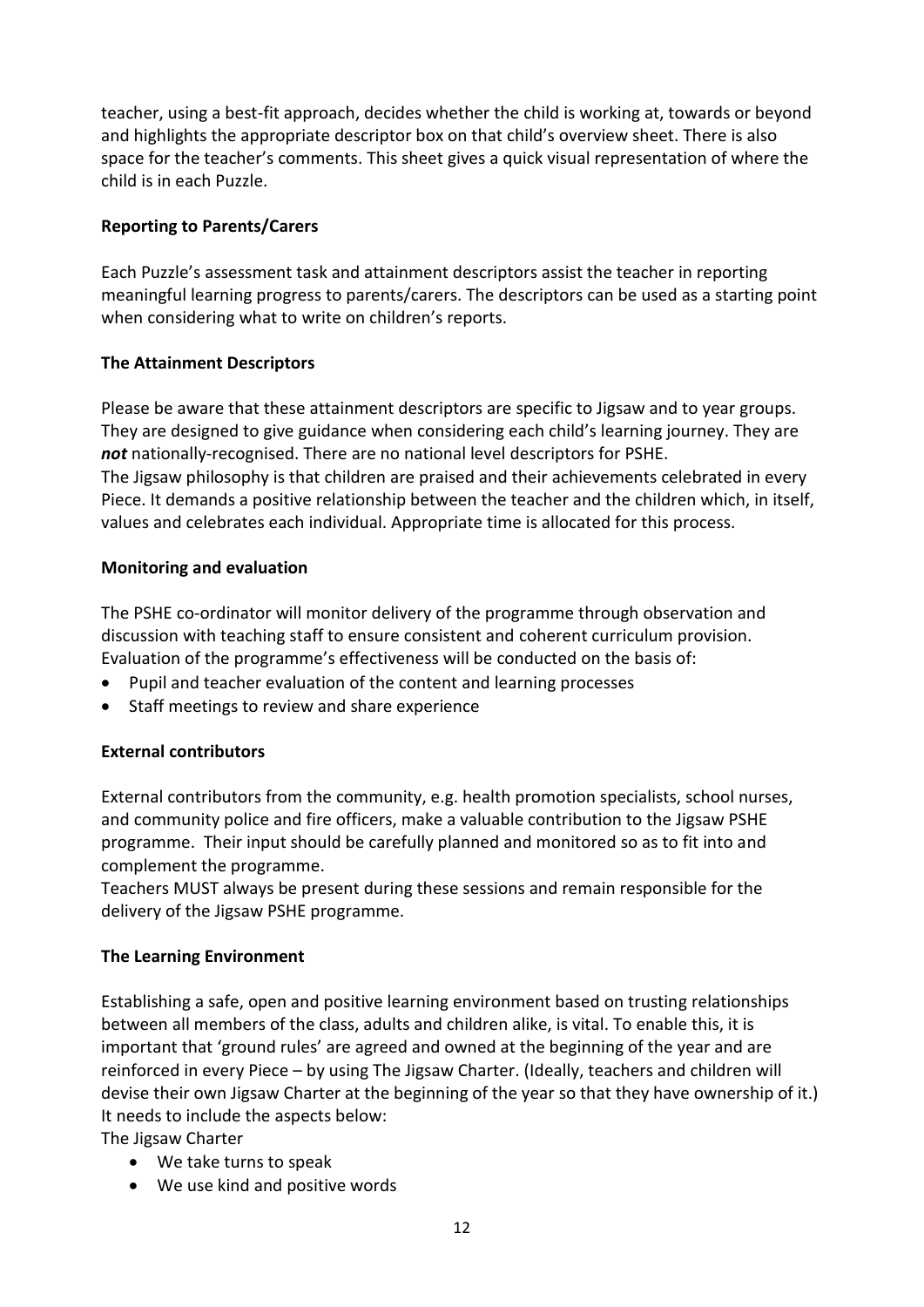teacher, using a best-fit approach, decides whether the child is working at, towards or beyond and highlights the appropriate descriptor box on that child's overview sheet. There is also space for the teacher's comments. This sheet gives a quick visual representation of where the child is in each Puzzle.

# **Reporting to Parents/Carers**

Each Puzzle's assessment task and attainment descriptors assist the teacher in reporting meaningful learning progress to parents/carers. The descriptors can be used as a starting point when considering what to write on children's reports.

# **The Attainment Descriptors**

Please be aware that these attainment descriptors are specific to Jigsaw and to year groups. They are designed to give guidance when considering each child's learning journey. They are *not* nationally-recognised. There are no national level descriptors for PSHE. The Jigsaw philosophy is that children are praised and their achievements celebrated in every Piece. It demands a positive relationship between the teacher and the children which, in itself, values and celebrates each individual. Appropriate time is allocated for this process.

# **Monitoring and evaluation**

The PSHE co-ordinator will monitor delivery of the programme through observation and discussion with teaching staff to ensure consistent and coherent curriculum provision. Evaluation of the programme's effectiveness will be conducted on the basis of:

- Pupil and teacher evaluation of the content and learning processes
- Staff meetings to review and share experience

# **External contributors**

External contributors from the community, e.g. health promotion specialists, school nurses, and community police and fire officers, make a valuable contribution to the Jigsaw PSHE programme. Their input should be carefully planned and monitored so as to fit into and complement the programme.

Teachers MUST always be present during these sessions and remain responsible for the delivery of the Jigsaw PSHE programme.

#### **The Learning Environment**

Establishing a safe, open and positive learning environment based on trusting relationships between all members of the class, adults and children alike, is vital. To enable this, it is important that 'ground rules' are agreed and owned at the beginning of the year and are reinforced in every Piece – by using The Jigsaw Charter. (Ideally, teachers and children will devise their own Jigsaw Charter at the beginning of the year so that they have ownership of it.) It needs to include the aspects below:

The Jigsaw Charter

- We take turns to speak
- We use kind and positive words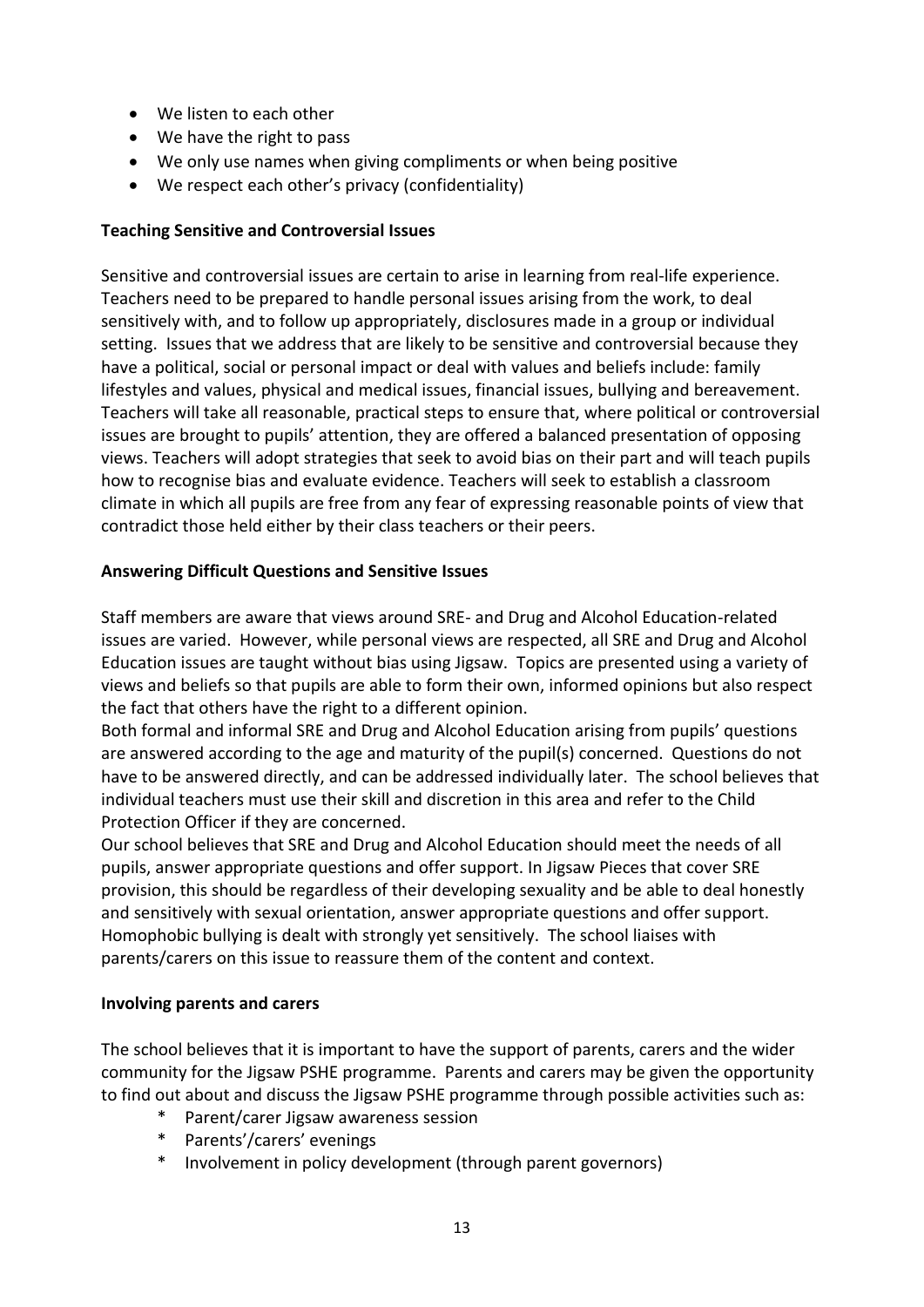- We listen to each other
- We have the right to pass
- We only use names when giving compliments or when being positive
- We respect each other's privacy (confidentiality)

#### **Teaching Sensitive and Controversial Issues**

Sensitive and controversial issues are certain to arise in learning from real-life experience. Teachers need to be prepared to handle personal issues arising from the work, to deal sensitively with, and to follow up appropriately, disclosures made in a group or individual setting. Issues that we address that are likely to be sensitive and controversial because they have a political, social or personal impact or deal with values and beliefs include: family lifestyles and values, physical and medical issues, financial issues, bullying and bereavement. Teachers will take all reasonable, practical steps to ensure that, where political or controversial issues are brought to pupils' attention, they are offered a balanced presentation of opposing views. Teachers will adopt strategies that seek to avoid bias on their part and will teach pupils how to recognise bias and evaluate evidence. Teachers will seek to establish a classroom climate in which all pupils are free from any fear of expressing reasonable points of view that contradict those held either by their class teachers or their peers.

#### **Answering Difficult Questions and Sensitive Issues**

Staff members are aware that views around SRE- and Drug and Alcohol Education-related issues are varied. However, while personal views are respected, all SRE and Drug and Alcohol Education issues are taught without bias using Jigsaw. Topics are presented using a variety of views and beliefs so that pupils are able to form their own, informed opinions but also respect the fact that others have the right to a different opinion.

Both formal and informal SRE and Drug and Alcohol Education arising from pupils' questions are answered according to the age and maturity of the pupil(s) concerned. Questions do not have to be answered directly, and can be addressed individually later. The school believes that individual teachers must use their skill and discretion in this area and refer to the Child Protection Officer if they are concerned.

Our school believes that SRE and Drug and Alcohol Education should meet the needs of all pupils, answer appropriate questions and offer support. In Jigsaw Pieces that cover SRE provision, this should be regardless of their developing sexuality and be able to deal honestly and sensitively with sexual orientation, answer appropriate questions and offer support. Homophobic bullying is dealt with strongly yet sensitively. The school liaises with parents/carers on this issue to reassure them of the content and context.

#### **Involving parents and carers**

The school believes that it is important to have the support of parents, carers and the wider community for the Jigsaw PSHE programme. Parents and carers may be given the opportunity to find out about and discuss the Jigsaw PSHE programme through possible activities such as:

- \* Parent/carer Jigsaw awareness session
- Parents'/carers' evenings
- Involvement in policy development (through parent governors)